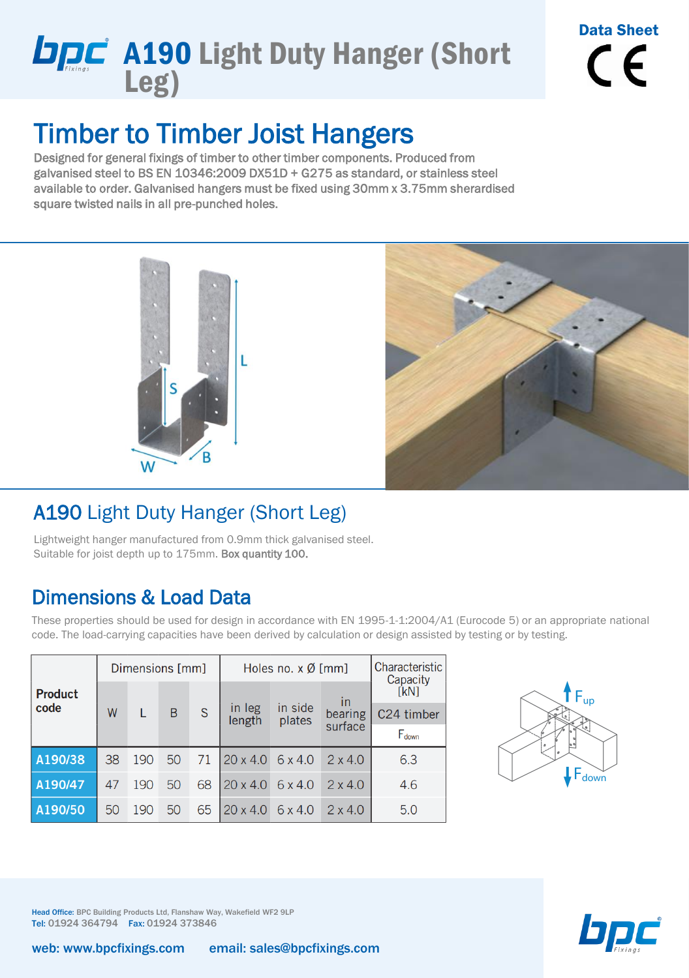## **DPC** A190 Light Duty Hanger (Short Leg)

# Data Sheet  $\epsilon$

### Timber to Timber Joist Hangers

Designed for general fixings of timber to other timber components. Produced from galvanised steel to BS EN 10346:2009 DX51D + G275 as standard, or stainless steel available to order. Galvanised hangers must be fixed using 30mm x 3.75mm sherardised square twisted nails in all pre-punched holes.





#### A190 Light Duty Hanger (Short Leg)

Lightweight hanger manufactured from 0.9mm thick galvanised steel. Suitable for joist depth up to 175mm. Box quantity 100.

#### Dimensions & Load Data

These properties should be used for design in accordance with EN 1995-1-1:2004/A1 (Eurocode 5) or an appropriate national code. The load-carrying capacities have been derived by calculation or design assisted by testing or by testing.

| <b>Product</b><br>code | Dimensions [mm] |     |                |              | Holes no. $x \emptyset$ [mm]   |                   |                | Characteristic   |  |
|------------------------|-----------------|-----|----------------|--------------|--------------------------------|-------------------|----------------|------------------|--|
|                        | W               |     | $\overline{B}$ | <sub>S</sub> | in leg<br>length               | in side<br>plates | in             | Capacity<br>[kN] |  |
|                        |                 |     |                |              |                                |                   | bearing        | C24 timber       |  |
|                        |                 |     |                |              |                                |                   | surface        | Fdown            |  |
| A190/38                | 38              | 190 | 50             | 71           | $20 \times 4.0$ 6 $\times 4.0$ |                   | $2 \times 4.0$ | 6.3              |  |
| A190/47                | 47              | 190 | 50             | 68           | $20 \times 4.0$                | 6 x 4.0           | $2 \times 4.0$ | 4.6              |  |
| A190/50                | 50              | 190 | 50             | 65           | $20 \times 4.0$                | $6 \times 4.0$    | $2 \times 4.0$ | 5.0              |  |





Head Office: BPC Building Products Ltd, Flanshaw Way, Wakefield WF2 9LP Tel: 01924 364794 Fax: 01924 373846